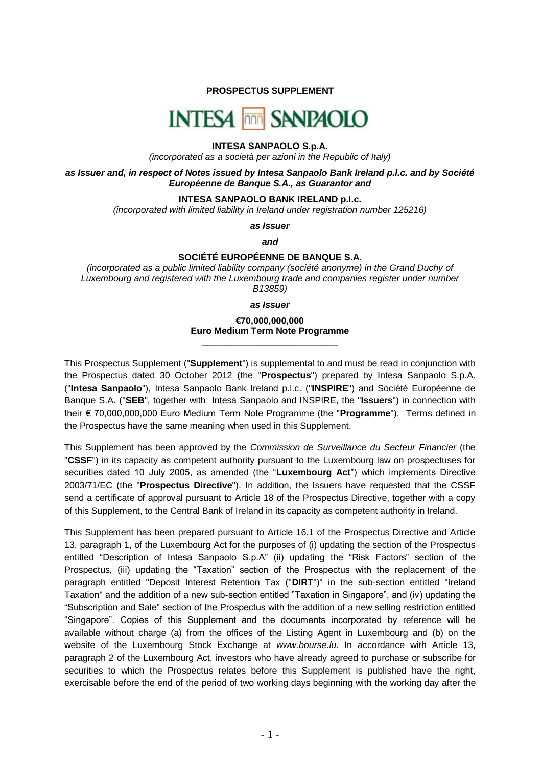**PROSPECTUS SUPPLEMENT**

# **INTESA non SANPAOLO**

# **INTESA SANPAOLO S.p.A.**

*(incorporated as a società per azioni in the Republic of Italy)*

*as Issuer and, in respect of Notes issued by Intesa Sanpaolo Bank Ireland p.l.c. and by Société Européenne de Banque S.A., as Guarantor and*

## **INTESA SANPAOLO BANK IRELAND p.l.c.**

*(incorporated with limited liability in Ireland under registration number 125216)*

*as Issuer*

*and*

# **SOCIÉTÉ EUROPÉENNE DE BANQUE S.A.**

*(incorporated as a public limited liability company (société anonyme) in the Grand Duchy of Luxembourg and registered with the Luxembourg trade and companies register under number B13859)*

*as Issuer*

# **€70,000,000,000 Euro Medium Term Note Programme \_\_\_\_\_\_\_\_\_\_\_\_\_\_\_\_\_\_\_\_\_\_\_\_\_\_\_**

This Prospectus Supplement ("**Supplement**") is supplemental to and must be read in conjunction with the Prospectus dated 30 October 2012 (the "**Prospectus**") prepared by Intesa Sanpaolo S.p.A. ("**Intesa Sanpaolo**"), Intesa Sanpaolo Bank Ireland p.l.c. ("**INSPIRE**") and Société Européenne de Banque S.A. ("**SEB**", together with Intesa Sanpaolo and INSPIRE, the "**Issuers**") in connection with their € 70,000,000,000 Euro Medium Term Note Programme (the "**Programme**"). Terms defined in the Prospectus have the same meaning when used in this Supplement.

This Supplement has been approved by the *Commission de Surveillance du Secteur Financier* (the "**CSSF**") in its capacity as competent authority pursuant to the Luxembourg law on prospectuses for securities dated 10 July 2005, as amended (the "**Luxembourg Act**") which implements Directive 2003/71/EC (the "**Prospectus Directive**"). In addition, the Issuers have requested that the CSSF send a certificate of approval pursuant to Article 18 of the Prospectus Directive, together with a copy of this Supplement, to the Central Bank of Ireland in its capacity as competent authority in Ireland.

This Supplement has been prepared pursuant to Article 16.1 of the Prospectus Directive and Article 13, paragraph 1, of the Luxembourg Act for the purposes of (i) updating the section of the Prospectus entitled "Description of Intesa Sanpaolo S.p.A" (ii) updating the "Risk Factors" section of the Prospectus, (iii) updating the "Taxation" section of the Prospectus with the replacement of the paragraph entitled "Deposit Interest Retention Tax ("**DIRT**")" in the sub-section entitled "Ireland Taxation" and the addition of a new sub-section entitled "Taxation in Singapore", and (iv) updating the "Subscription and Sale" section of the Prospectus with the addition of a new selling restriction entitled "Singapore". Copies of this Supplement and the documents incorporated by reference will be available without charge (a) from the offices of the Listing Agent in Luxembourg and (b) on the website of the Luxembourg Stock Exchange at *[www.bourse.lu](http://www.bourse.lu/)*. In accordance with Article 13, paragraph 2 of the Luxembourg Act, investors who have already agreed to purchase or subscribe for securities to which the Prospectus relates before this Supplement is published have the right, exercisable before the end of the period of two working days beginning with the working day after the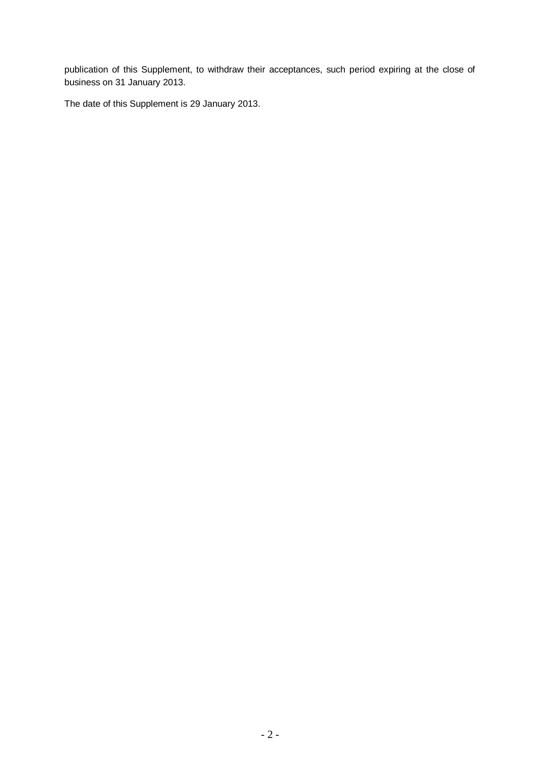publication of this Supplement, to withdraw their acceptances, such period expiring at the close of business on 31 January 2013.

The date of this Supplement is 29 January 2013.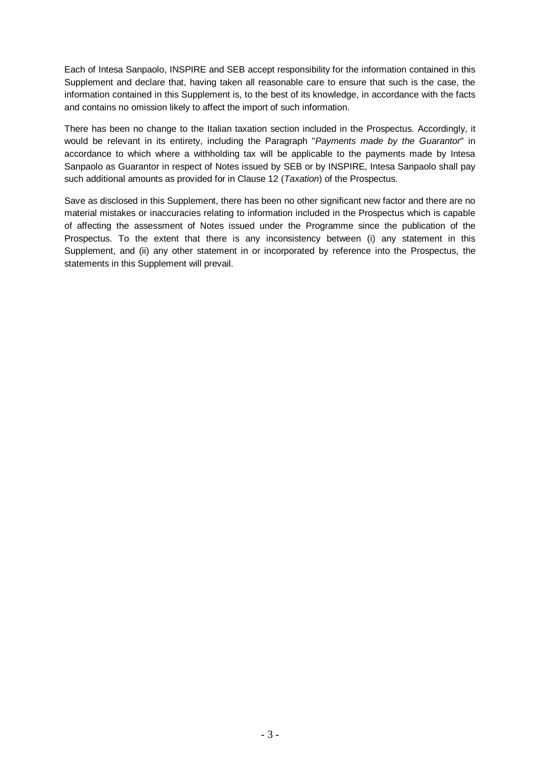Each of Intesa Sanpaolo, INSPIRE and SEB accept responsibility for the information contained in this Supplement and declare that, having taken all reasonable care to ensure that such is the case, the information contained in this Supplement is, to the best of its knowledge, in accordance with the facts and contains no omission likely to affect the import of such information.

There has been no change to the Italian taxation section included in the Prospectus. Accordingly, it would be relevant in its entirety, including the Paragraph "*Payments made by the Guarantor*" in accordance to which where a withholding tax will be applicable to the payments made by Intesa Sanpaolo as Guarantor in respect of Notes issued by SEB or by INSPIRE, Intesa Sanpaolo shall pay such additional amounts as provided for in Clause 12 (*Taxation*) of the Prospectus.

Save as disclosed in this Supplement, there has been no other significant new factor and there are no material mistakes or inaccuracies relating to information included in the Prospectus which is capable of affecting the assessment of Notes issued under the Programme since the publication of the Prospectus. To the extent that there is any inconsistency between (i) any statement in this Supplement, and (ii) any other statement in or incorporated by reference into the Prospectus, the statements in this Supplement will prevail.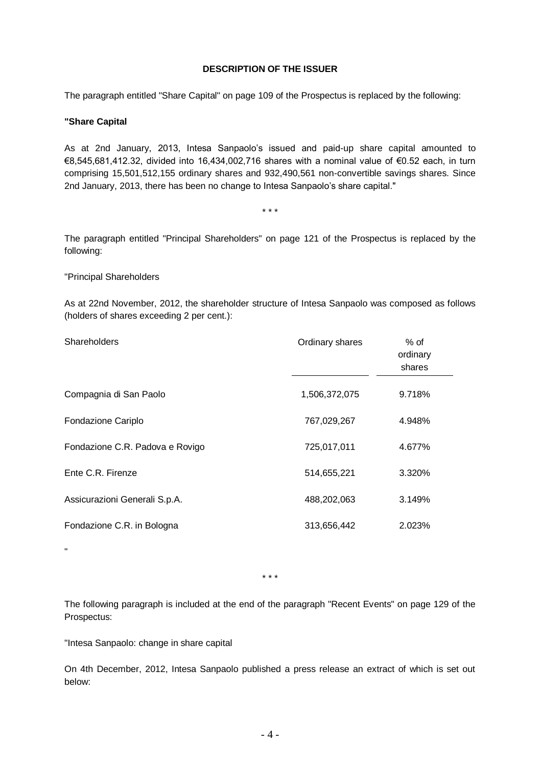# **DESCRIPTION OF THE ISSUER**

The paragraph entitled "Share Capital" on page 109 of the Prospectus is replaced by the following:

#### **"Share Capital**

As at 2nd January, 2013, Intesa Sanpaolo's issued and paid-up share capital amounted to €8,545,681,412.32, divided into 16,434,002,716 shares with a nominal value of €0.52 each, in turn comprising 15,501,512,155 ordinary shares and 932,490,561 non-convertible savings shares. Since 2nd January, 2013, there has been no change to Intesa Sanpaolo's share capital."

\* \* \*

The paragraph entitled "Principal Shareholders" on page 121 of the Prospectus is replaced by the following:

#### "Principal Shareholders

"

As at 22nd November, 2012, the shareholder structure of Intesa Sanpaolo was composed as follows (holders of shares exceeding 2 per cent.):

| <b>Shareholders</b>             | Ordinary shares | $%$ of<br>ordinary<br>shares |
|---------------------------------|-----------------|------------------------------|
| Compagnia di San Paolo          | 1,506,372,075   | 9.718%                       |
| Fondazione Cariplo              | 767,029,267     | 4.948%                       |
| Fondazione C.R. Padova e Rovigo | 725,017,011     | 4.677%                       |
| Ente C.R. Firenze               | 514,655,221     | 3.320%                       |
| Assicurazioni Generali S.p.A.   | 488,202,063     | 3.149%                       |
| Fondazione C.R. in Bologna      | 313,656,442     | 2.023%                       |

\* \* \*

The following paragraph is included at the end of the paragraph "Recent Events" on page 129 of the Prospectus:

"Intesa Sanpaolo: change in share capital

On 4th December, 2012, Intesa Sanpaolo published a press release an extract of which is set out below: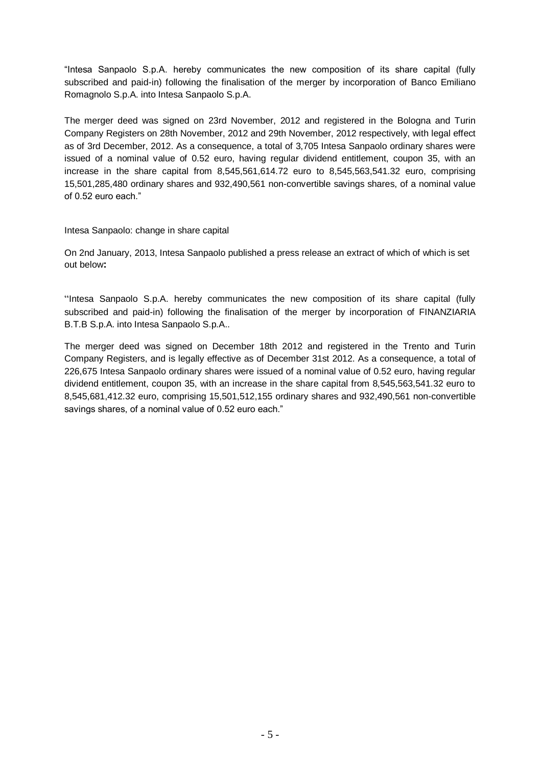"Intesa Sanpaolo S.p.A. hereby communicates the new composition of its share capital (fully subscribed and paid-in) following the finalisation of the merger by incorporation of Banco Emiliano Romagnolo S.p.A. into Intesa Sanpaolo S.p.A.

The merger deed was signed on 23rd November, 2012 and registered in the Bologna and Turin Company Registers on 28th November, 2012 and 29th November, 2012 respectively, with legal effect as of 3rd December, 2012. As a consequence, a total of 3,705 Intesa Sanpaolo ordinary shares were issued of a nominal value of 0.52 euro, having regular dividend entitlement, coupon 35, with an increase in the share capital from 8,545,561,614.72 euro to 8,545,563,541.32 euro, comprising 15,501,285,480 ordinary shares and 932,490,561 non-convertible savings shares, of a nominal value of 0.52 euro each."

## Intesa Sanpaolo: change in share capital

On 2nd January, 2013, Intesa Sanpaolo published a press release an extract of which of which is set out below**:**

"Intesa Sanpaolo S.p.A. hereby communicates the new composition of its share capital (fully subscribed and paid-in) following the finalisation of the merger by incorporation of FINANZIARIA B.T.B S.p.A. into Intesa Sanpaolo S.p.A..

The merger deed was signed on December 18th 2012 and registered in the Trento and Turin Company Registers, and is legally effective as of December 31st 2012. As a consequence, a total of 226,675 Intesa Sanpaolo ordinary shares were issued of a nominal value of 0.52 euro, having regular dividend entitlement, coupon 35, with an increase in the share capital from 8,545,563,541.32 euro to 8,545,681,412.32 euro, comprising 15,501,512,155 ordinary shares and 932,490,561 non-convertible savings shares, of a nominal value of 0.52 euro each."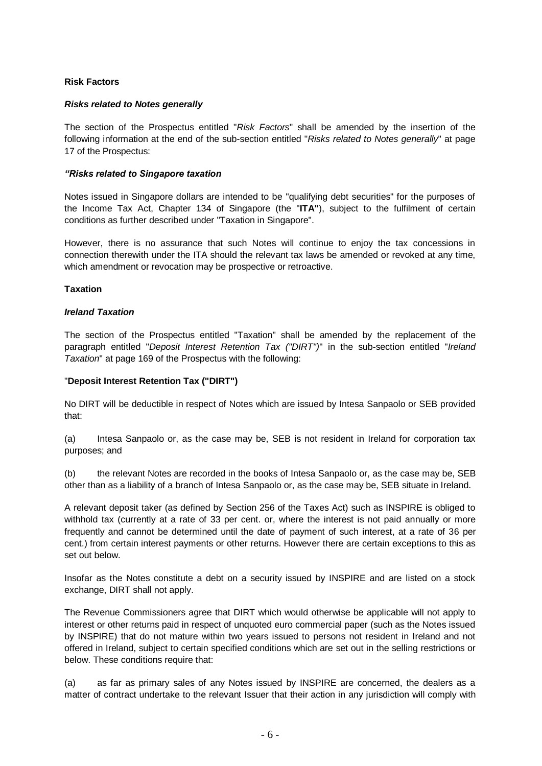# **Risk Factors**

## *Risks related to Notes generally*

The section of the Prospectus entitled "*Risk Factors*" shall be amended by the insertion of the following information at the end of the sub-section entitled "*Risks related to Notes generally*" at page 17 of the Prospectus:

#### *"Risks related to Singapore taxation*

Notes issued in Singapore dollars are intended to be "qualifying debt securities" for the purposes of the Income Tax Act, Chapter 134 of Singapore (the "**ITA"**), subject to the fulfilment of certain conditions as further described under "Taxation in Singapore".

However, there is no assurance that such Notes will continue to enjoy the tax concessions in connection therewith under the ITA should the relevant tax laws be amended or revoked at any time, which amendment or revocation may be prospective or retroactive.

#### **Taxation**

## *Ireland Taxation*

The section of the Prospectus entitled "Taxation" shall be amended by the replacement of the paragraph entitled "*Deposit Interest Retention Tax ("DIRT")*" in the sub-section entitled "*Ireland Taxation*" at page 169 of the Prospectus with the following:

## "**Deposit Interest Retention Tax ("DIRT")**

No DIRT will be deductible in respect of Notes which are issued by Intesa Sanpaolo or SEB provided that:

(a) Intesa Sanpaolo or, as the case may be, SEB is not resident in Ireland for corporation tax purposes; and

(b) the relevant Notes are recorded in the books of Intesa Sanpaolo or, as the case may be, SEB other than as a liability of a branch of Intesa Sanpaolo or, as the case may be, SEB situate in Ireland.

A relevant deposit taker (as defined by Section 256 of the Taxes Act) such as INSPIRE is obliged to withhold tax (currently at a rate of 33 per cent. or, where the interest is not paid annually or more frequently and cannot be determined until the date of payment of such interest, at a rate of 36 per cent.) from certain interest payments or other returns. However there are certain exceptions to this as set out below.

Insofar as the Notes constitute a debt on a security issued by INSPIRE and are listed on a stock exchange, DIRT shall not apply.

The Revenue Commissioners agree that DIRT which would otherwise be applicable will not apply to interest or other returns paid in respect of unquoted euro commercial paper (such as the Notes issued by INSPIRE) that do not mature within two years issued to persons not resident in Ireland and not offered in Ireland, subject to certain specified conditions which are set out in the selling restrictions or below. These conditions require that:

(a) as far as primary sales of any Notes issued by INSPIRE are concerned, the dealers as a matter of contract undertake to the relevant Issuer that their action in any jurisdiction will comply with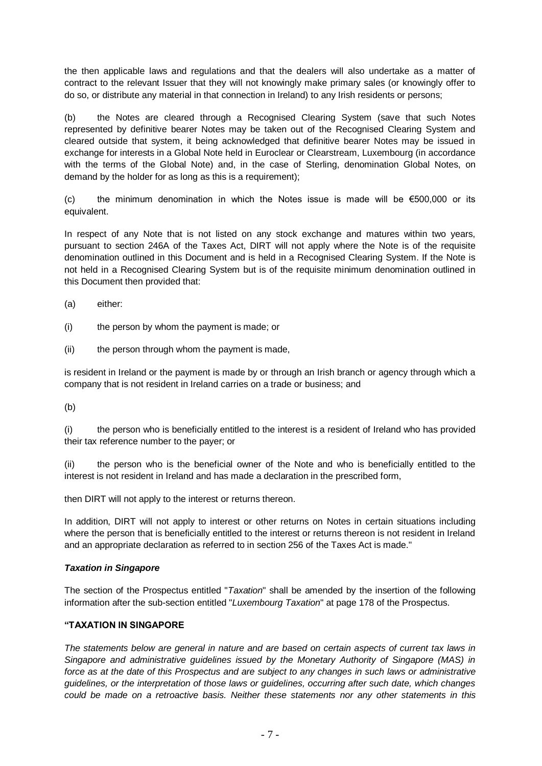the then applicable laws and regulations and that the dealers will also undertake as a matter of contract to the relevant Issuer that they will not knowingly make primary sales (or knowingly offer to do so, or distribute any material in that connection in Ireland) to any Irish residents or persons;

(b) the Notes are cleared through a Recognised Clearing System (save that such Notes represented by definitive bearer Notes may be taken out of the Recognised Clearing System and cleared outside that system, it being acknowledged that definitive bearer Notes may be issued in exchange for interests in a Global Note held in Euroclear or Clearstream, Luxembourg (in accordance with the terms of the Global Note) and, in the case of Sterling, denomination Global Notes, on demand by the holder for as long as this is a requirement);

(c) the minimum denomination in which the Notes issue is made will be  $\epsilon$ 500,000 or its equivalent.

In respect of any Note that is not listed on any stock exchange and matures within two years, pursuant to section 246A of the Taxes Act, DIRT will not apply where the Note is of the requisite denomination outlined in this Document and is held in a Recognised Clearing System. If the Note is not held in a Recognised Clearing System but is of the requisite minimum denomination outlined in this Document then provided that:

- (a) either:
- (i) the person by whom the payment is made; or
- (ii) the person through whom the payment is made,

is resident in Ireland or the payment is made by or through an Irish branch or agency through which a company that is not resident in Ireland carries on a trade or business; and

(b)

(i) the person who is beneficially entitled to the interest is a resident of Ireland who has provided their tax reference number to the payer; or

(ii) the person who is the beneficial owner of the Note and who is beneficially entitled to the interest is not resident in Ireland and has made a declaration in the prescribed form,

then DIRT will not apply to the interest or returns thereon.

In addition, DIRT will not apply to interest or other returns on Notes in certain situations including where the person that is beneficially entitled to the interest or returns thereon is not resident in Ireland and an appropriate declaration as referred to in section 256 of the Taxes Act is made."

# *Taxation in Singapore*

The section of the Prospectus entitled "*Taxation*" shall be amended by the insertion of the following information after the sub-section entitled "*Luxembourg Taxation*" at page 178 of the Prospectus.

# **"TAXATION IN SINGAPORE**

*The statements below are general in nature and are based on certain aspects of current tax laws in Singapore and administrative guidelines issued by the Monetary Authority of Singapore (MAS) in*  force as at the date of this Prospectus and are subject to any changes in such laws or administrative *guidelines, or the interpretation of those laws or guidelines, occurring after such date, which changes could be made on a retroactive basis. Neither these statements nor any other statements in this*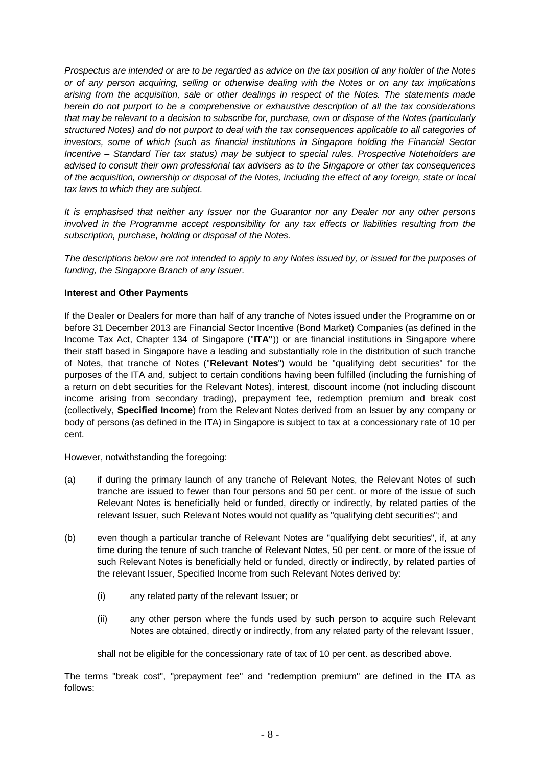*Prospectus are intended or are to be regarded as advice on the tax position of any holder of the Notes or of any person acquiring, selling or otherwise dealing with the Notes or on any tax implications arising from the acquisition, sale or other dealings in respect of the Notes. The statements made herein do not purport to be a comprehensive or exhaustive description of all the tax considerations that may be relevant to a decision to subscribe for, purchase, own or dispose of the Notes (particularly structured Notes) and do not purport to deal with the tax consequences applicable to all categories of investors, some of which (such as financial institutions in Singapore holding the Financial Sector Incentive – Standard Tier tax status) may be subject to special rules. Prospective Noteholders are advised to consult their own professional tax advisers as to the Singapore or other tax consequences of the acquisition, ownership or disposal of the Notes, including the effect of any foreign, state or local tax laws to which they are subject.* 

*It is emphasised that neither any Issuer nor the Guarantor nor any Dealer nor any other persons involved in the Programme accept responsibility for any tax effects or liabilities resulting from the subscription, purchase, holding or disposal of the Notes.*

*The descriptions below are not intended to apply to any Notes issued by, or issued for the purposes of funding, the Singapore Branch of any Issuer.*

## **Interest and Other Payments**

If the Dealer or Dealers for more than half of any tranche of Notes issued under the Programme on or before 31 December 2013 are Financial Sector Incentive (Bond Market) Companies (as defined in the Income Tax Act, Chapter 134 of Singapore ("**ITA"**)) or are financial institutions in Singapore where their staff based in Singapore have a leading and substantially role in the distribution of such tranche of Notes, that tranche of Notes ("**Relevant Notes**") would be "qualifying debt securities" for the purposes of the ITA and, subject to certain conditions having been fulfilled (including the furnishing of a return on debt securities for the Relevant Notes), interest, discount income (not including discount income arising from secondary trading), prepayment fee, redemption premium and break cost (collectively, **Specified Income**) from the Relevant Notes derived from an Issuer by any company or body of persons (as defined in the ITA) in Singapore is subject to tax at a concessionary rate of 10 per cent.

However, notwithstanding the foregoing:

- (a) if during the primary launch of any tranche of Relevant Notes, the Relevant Notes of such tranche are issued to fewer than four persons and 50 per cent. or more of the issue of such Relevant Notes is beneficially held or funded, directly or indirectly, by related parties of the relevant Issuer, such Relevant Notes would not qualify as "qualifying debt securities"; and
- (b) even though a particular tranche of Relevant Notes are "qualifying debt securities", if, at any time during the tenure of such tranche of Relevant Notes, 50 per cent. or more of the issue of such Relevant Notes is beneficially held or funded, directly or indirectly, by related parties of the relevant Issuer, Specified Income from such Relevant Notes derived by:
	- (i) any related party of the relevant Issuer; or
	- (ii) any other person where the funds used by such person to acquire such Relevant Notes are obtained, directly or indirectly, from any related party of the relevant Issuer,

shall not be eligible for the concessionary rate of tax of 10 per cent. as described above.

The terms "break cost", "prepayment fee" and "redemption premium" are defined in the ITA as follows: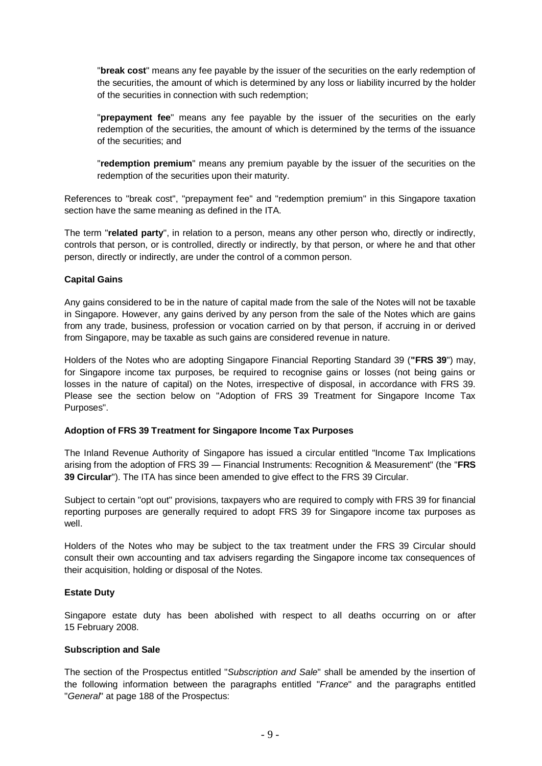"**break cost**" means any fee payable by the issuer of the securities on the early redemption of the securities, the amount of which is determined by any loss or liability incurred by the holder of the securities in connection with such redemption;

"**prepayment fee**" means any fee payable by the issuer of the securities on the early redemption of the securities, the amount of which is determined by the terms of the issuance of the securities; and

"**redemption premium**" means any premium payable by the issuer of the securities on the redemption of the securities upon their maturity.

References to "break cost", "prepayment fee" and "redemption premium" in this Singapore taxation section have the same meaning as defined in the ITA.

The term "**related party**", in relation to a person, means any other person who, directly or indirectly, controls that person, or is controlled, directly or indirectly, by that person, or where he and that other person, directly or indirectly, are under the control of a common person.

## **Capital Gains**

Any gains considered to be in the nature of capital made from the sale of the Notes will not be taxable in Singapore. However, any gains derived by any person from the sale of the Notes which are gains from any trade, business, profession or vocation carried on by that person, if accruing in or derived from Singapore, may be taxable as such gains are considered revenue in nature.

Holders of the Notes who are adopting Singapore Financial Reporting Standard 39 (**"FRS 39**") may, for Singapore income tax purposes, be required to recognise gains or losses (not being gains or losses in the nature of capital) on the Notes, irrespective of disposal, in accordance with FRS 39. Please see the section below on "Adoption of FRS 39 Treatment for Singapore Income Tax Purposes".

#### **Adoption of FRS 39 Treatment for Singapore Income Tax Purposes**

The Inland Revenue Authority of Singapore has issued a circular entitled "Income Tax Implications arising from the adoption of FRS 39 — Financial Instruments: Recognition & Measurement" (the "**FRS 39 Circular**"). The ITA has since been amended to give effect to the FRS 39 Circular.

Subject to certain "opt out" provisions, taxpayers who are required to comply with FRS 39 for financial reporting purposes are generally required to adopt FRS 39 for Singapore income tax purposes as well.

Holders of the Notes who may be subject to the tax treatment under the FRS 39 Circular should consult their own accounting and tax advisers regarding the Singapore income tax consequences of their acquisition, holding or disposal of the Notes.

#### **Estate Duty**

Singapore estate duty has been abolished with respect to all deaths occurring on or after 15 February 2008.

#### **Subscription and Sale**

The section of the Prospectus entitled "*Subscription and Sale*" shall be amended by the insertion of the following information between the paragraphs entitled "*France*" and the paragraphs entitled "*General*" at page 188 of the Prospectus: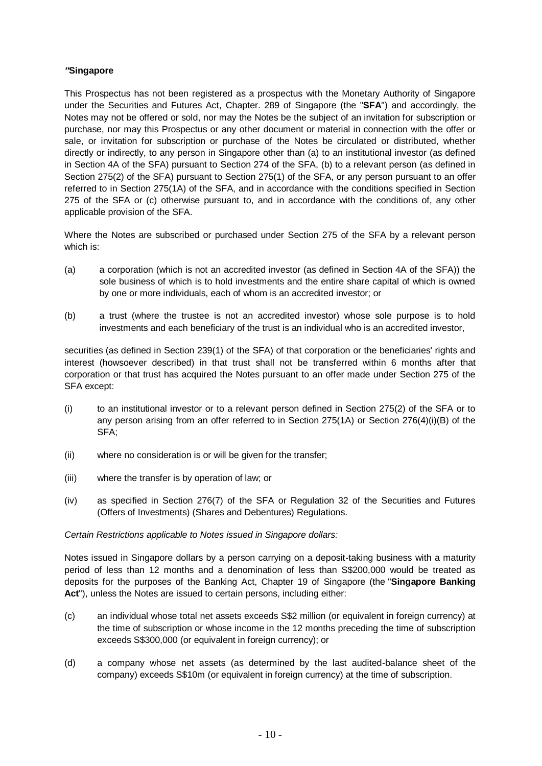# *"***Singapore**

This Prospectus has not been registered as a prospectus with the Monetary Authority of Singapore under the Securities and Futures Act, Chapter. 289 of Singapore (the "**SFA**") and accordingly, the Notes may not be offered or sold, nor may the Notes be the subject of an invitation for subscription or purchase, nor may this Prospectus or any other document or material in connection with the offer or sale, or invitation for subscription or purchase of the Notes be circulated or distributed, whether directly or indirectly, to any person in Singapore other than (a) to an institutional investor (as defined in Section 4A of the SFA) pursuant to Section 274 of the SFA, (b) to a relevant person (as defined in Section 275(2) of the SFA) pursuant to Section 275(1) of the SFA, or any person pursuant to an offer referred to in Section 275(1A) of the SFA, and in accordance with the conditions specified in Section 275 of the SFA or (c) otherwise pursuant to, and in accordance with the conditions of, any other applicable provision of the SFA.

Where the Notes are subscribed or purchased under Section 275 of the SFA by a relevant person which is:

- (a) a corporation (which is not an accredited investor (as defined in Section 4A of the SFA)) the sole business of which is to hold investments and the entire share capital of which is owned by one or more individuals, each of whom is an accredited investor; or
- (b) a trust (where the trustee is not an accredited investor) whose sole purpose is to hold investments and each beneficiary of the trust is an individual who is an accredited investor,

securities (as defined in Section 239(1) of the SFA) of that corporation or the beneficiaries' rights and interest (howsoever described) in that trust shall not be transferred within 6 months after that corporation or that trust has acquired the Notes pursuant to an offer made under Section 275 of the SFA except:

- (i) to an institutional investor or to a relevant person defined in Section 275(2) of the SFA or to any person arising from an offer referred to in Section 275(1A) or Section 276(4)(i)(B) of the SFA;
- (ii) where no consideration is or will be given for the transfer;
- (iii) where the transfer is by operation of law; or
- (iv) as specified in Section 276(7) of the SFA or Regulation 32 of the Securities and Futures (Offers of Investments) (Shares and Debentures) Regulations.

#### *Certain Restrictions applicable to Notes issued in Singapore dollars:*

Notes issued in Singapore dollars by a person carrying on a deposit-taking business with a maturity period of less than 12 months and a denomination of less than S\$200,000 would be treated as deposits for the purposes of the Banking Act, Chapter 19 of Singapore (the "**Singapore Banking Act**"), unless the Notes are issued to certain persons, including either:

- (c) an individual whose total net assets exceeds S\$2 million (or equivalent in foreign currency) at the time of subscription or whose income in the 12 months preceding the time of subscription exceeds S\$300,000 (or equivalent in foreign currency); or
- (d) a company whose net assets (as determined by the last audited-balance sheet of the company) exceeds S\$10m (or equivalent in foreign currency) at the time of subscription.